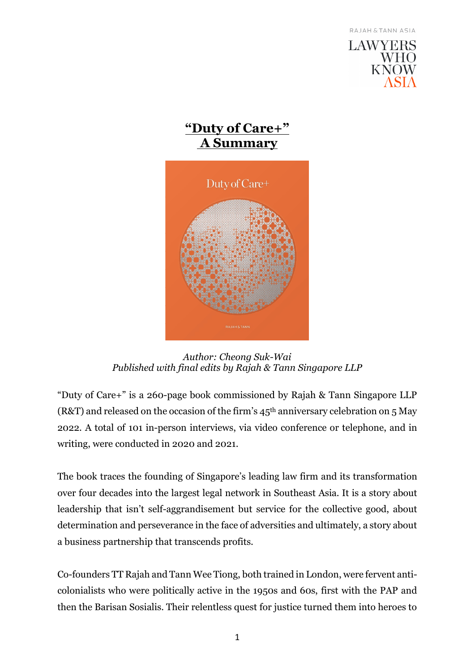



*Author: Cheong Suk-Wai Published with final edits by Rajah & Tann Singapore LLP* 

"Duty of Care+" is a 260-page book commissioned by Rajah & Tann Singapore LLP (R&T) and released on the occasion of the firm's  $45<sup>th</sup>$  anniversary celebration on 5 May 2022. A total of 101 in-person interviews, via video conference or telephone, and in writing, were conducted in 2020 and 2021.

The book traces the founding of Singapore's leading law firm and its transformation over four decades into the largest legal network in Southeast Asia. It is a story about leadership that isn't self-aggrandisement but service for the collective good, about determination and perseverance in the face of adversities and ultimately, a story about a business partnership that transcends profits.

Co-founders TT Rajah and Tann Wee Tiong, both trained in London, were fervent anticolonialists who were politically active in the 1950s and 60s, first with the PAP and then the Barisan Sosialis. Their relentless quest for justice turned them into heroes to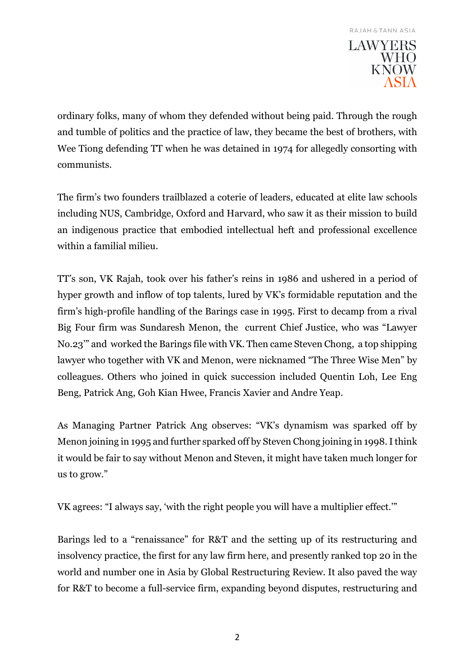ordinary folks, many of whom they defended without being paid. Through the rough and tumble of politics and the practice of law, they became the best of brothers, with Wee Tiong defending TT when he was detained in 1974 for allegedly consorting with communists.

The firm's two founders trailblazed a coterie of leaders, educated at elite law schools including NUS, Cambridge, Oxford and Harvard, who saw it as their mission to build an indigenous practice that embodied intellectual heft and professional excellence within a familial milieu.

TT's son, VK Rajah, took over his father's reins in 1986 and ushered in a period of hyper growth and inflow of top talents, lured by VK's formidable reputation and the firm's high-profile handling of the Barings case in 1995. First to decamp from a rival Big Four firm was Sundaresh Menon, the current Chief Justice, who was "Lawyer No.23'" and worked the Barings file with VK. Then came Steven Chong, a top shipping lawyer who together with VK and Menon, were nicknamed "The Three Wise Men" by colleagues. Others who joined in quick succession included Quentin Loh, Lee Eng Beng, Patrick Ang, Goh Kian Hwee, Francis Xavier and Andre Yeap.

As Managing Partner Patrick Ang observes: "VK's dynamism was sparked off by Menon joining in 1995 and further sparked off by Steven Chong joining in 1998. I think it would be fair to say without Menon and Steven, it might have taken much longer for us to grow."

VK agrees: "I always say, 'with the right people you will have a multiplier effect.'"

Barings led to a "renaissance" for R&T and the setting up of its restructuring and insolvency practice, the first for any law firm here, and presently ranked top 20 in the world and number one in Asia by Global Restructuring Review. It also paved the way for R&T to become a full-service firm, expanding beyond disputes, restructuring and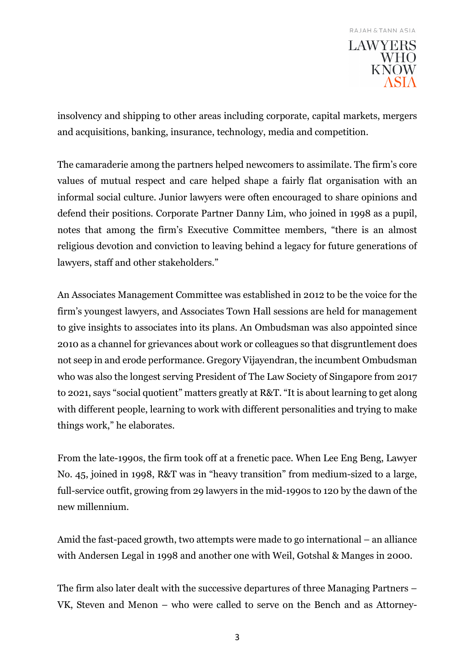insolvency and shipping to other areas including corporate, capital markets, mergers and acquisitions, banking, insurance, technology, media and competition.

The camaraderie among the partners helped newcomers to assimilate. The firm's core values of mutual respect and care helped shape a fairly flat organisation with an informal social culture. Junior lawyers were often encouraged to share opinions and defend their positions. Corporate Partner Danny Lim, who joined in 1998 as a pupil, notes that among the firm's Executive Committee members, "there is an almost religious devotion and conviction to leaving behind a legacy for future generations of lawyers, staff and other stakeholders."

An Associates Management Committee was established in 2012 to be the voice for the firm's youngest lawyers, and Associates Town Hall sessions are held for management to give insights to associates into its plans. An Ombudsman was also appointed since 2010 as a channel for grievances about work or colleagues so that disgruntlement does not seep in and erode performance. Gregory Vijayendran, the incumbent Ombudsman who was also the longest serving President of The Law Society of Singapore from 2017 to 2021, says "social quotient" matters greatly at R&T. "It is about learning to get along with different people, learning to work with different personalities and trying to make things work," he elaborates.

From the late-1990s, the firm took off at a frenetic pace. When Lee Eng Beng, Lawyer No. 45, joined in 1998, R&T was in "heavy transition" from medium-sized to a large, full-service outfit, growing from 29 lawyers in the mid-1990s to 120 by the dawn of the new millennium.

Amid the fast-paced growth, two attempts were made to go international – an alliance with Andersen Legal in 1998 and another one with Weil, Gotshal & Manges in 2000.

The firm also later dealt with the successive departures of three Managing Partners – VK, Steven and Menon – who were called to serve on the Bench and as Attorney-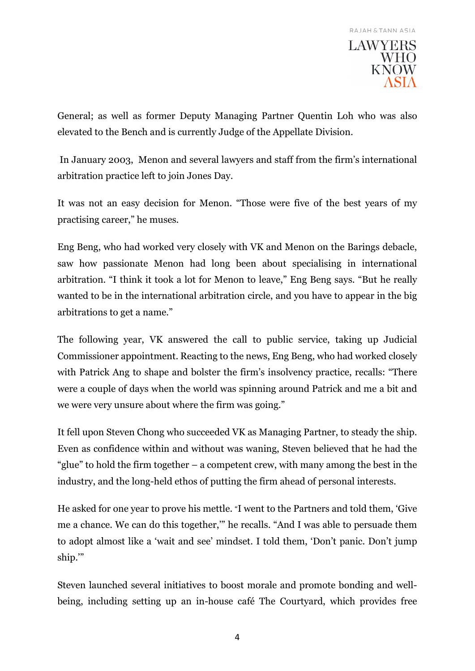**KNOW** 

General; as well as former Deputy Managing Partner Quentin Loh who was also elevated to the Bench and is currently Judge of the Appellate Division.

 In January 2003, Menon and several lawyers and staff from the firm's international arbitration practice left to join Jones Day.

It was not an easy decision for Menon. "Those were five of the best years of my practising career," he muses.

Eng Beng, who had worked very closely with VK and Menon on the Barings debacle, saw how passionate Menon had long been about specialising in international arbitration. "I think it took a lot for Menon to leave," Eng Beng says. "But he really wanted to be in the international arbitration circle, and you have to appear in the big arbitrations to get a name."

The following year, VK answered the call to public service, taking up Judicial Commissioner appointment. Reacting to the news, Eng Beng, who had worked closely with Patrick Ang to shape and bolster the firm's insolvency practice, recalls: "There were a couple of days when the world was spinning around Patrick and me a bit and we were very unsure about where the firm was going."

It fell upon Steven Chong who succeeded VK as Managing Partner, to steady the ship. Even as confidence within and without was waning, Steven believed that he had the "glue" to hold the firm together – a competent crew, with many among the best in the industry, and the long-held ethos of putting the firm ahead of personal interests.

He asked for one year to prove his mettle. "I went to the Partners and told them, 'Give me a chance. We can do this together,'" he recalls. "And I was able to persuade them to adopt almost like a 'wait and see' mindset. I told them, 'Don't panic. Don't jump ship.'"

Steven launched several initiatives to boost morale and promote bonding and wellbeing, including setting up an in-house café The Courtyard, which provides free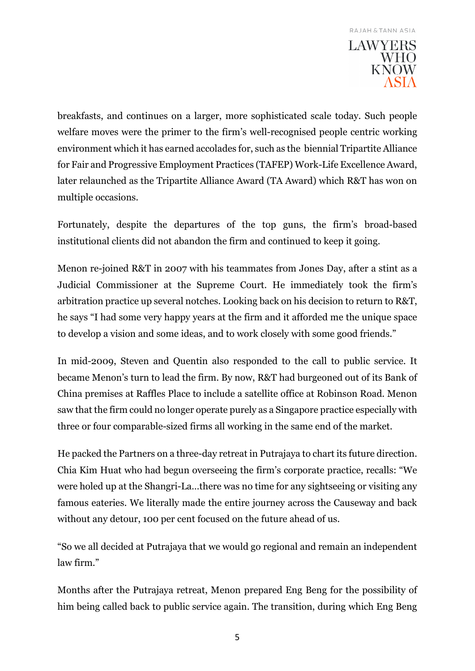breakfasts, and continues on a larger, more sophisticated scale today. Such people welfare moves were the primer to the firm's well-recognised people centric working environment which it has earned accolades for, such as the biennial Tripartite Alliance for Fair and Progressive Employment Practices (TAFEP) Work-Life Excellence Award, later relaunched as the Tripartite Alliance Award (TA Award) which R&T has won on multiple occasions.

Fortunately, despite the departures of the top guns, the firm's broad-based institutional clients did not abandon the firm and continued to keep it going.

Menon re-joined R&T in 2007 with his teammates from Jones Day, after a stint as a Judicial Commissioner at the Supreme Court. He immediately took the firm's arbitration practice up several notches. Looking back on his decision to return to R&T, he says "I had some very happy years at the firm and it afforded me the unique space to develop a vision and some ideas, and to work closely with some good friends."

In mid-2009, Steven and Quentin also responded to the call to public service. It became Menon's turn to lead the firm. By now, R&T had burgeoned out of its Bank of China premises at Raffles Place to include a satellite office at Robinson Road. Menon saw that the firm could no longer operate purely as a Singapore practice especially with three or four comparable-sized firms all working in the same end of the market.

He packed the Partners on a three-day retreat in Putrajaya to chart its future direction. Chia Kim Huat who had begun overseeing the firm's corporate practice, recalls: "We were holed up at the Shangri-La…there was no time for any sightseeing or visiting any famous eateries. We literally made the entire journey across the Causeway and back without any detour, 100 per cent focused on the future ahead of us.

"So we all decided at Putrajaya that we would go regional and remain an independent law firm."

Months after the Putrajaya retreat, Menon prepared Eng Beng for the possibility of him being called back to public service again. The transition, during which Eng Beng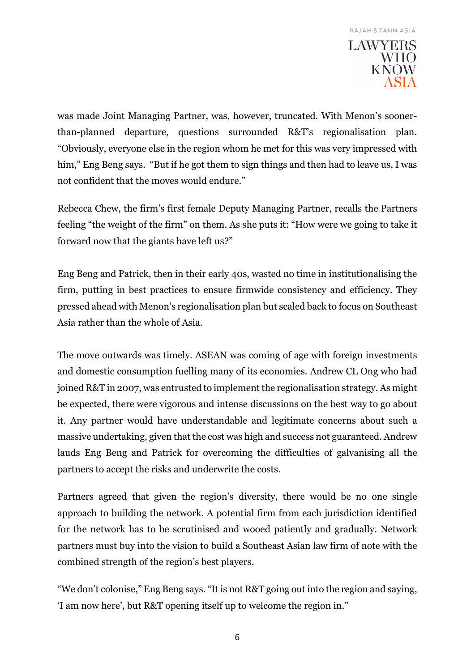was made Joint Managing Partner, was, however, truncated. With Menon's soonerthan-planned departure, questions surrounded R&T's regionalisation plan. "Obviously, everyone else in the region whom he met for this was very impressed with him," Eng Beng says. "But if he got them to sign things and then had to leave us, I was not confident that the moves would endure."

Rebecca Chew, the firm's first female Deputy Managing Partner, recalls the Partners feeling "the weight of the firm" on them. As she puts it: "How were we going to take it forward now that the giants have left us?"

Eng Beng and Patrick, then in their early 40s, wasted no time in institutionalising the firm, putting in best practices to ensure firmwide consistency and efficiency. They pressed ahead with Menon's regionalisation plan but scaled back to focus on Southeast Asia rather than the whole of Asia.

The move outwards was timely. ASEAN was coming of age with foreign investments and domestic consumption fuelling many of its economies. Andrew CL Ong who had joined R&T in 2007, was entrusted to implement the regionalisation strategy. As might be expected, there were vigorous and intense discussions on the best way to go about it. Any partner would have understandable and legitimate concerns about such a massive undertaking, given that the cost was high and success not guaranteed. Andrew lauds Eng Beng and Patrick for overcoming the difficulties of galvanising all the partners to accept the risks and underwrite the costs.

Partners agreed that given the region's diversity, there would be no one single approach to building the network. A potential firm from each jurisdiction identified for the network has to be scrutinised and wooed patiently and gradually. Network partners must buy into the vision to build a Southeast Asian law firm of note with the combined strength of the region's best players.

"We don't colonise," Eng Beng says. "It is not R&T going out into the region and saying, 'I am now here', but R&T opening itself up to welcome the region in."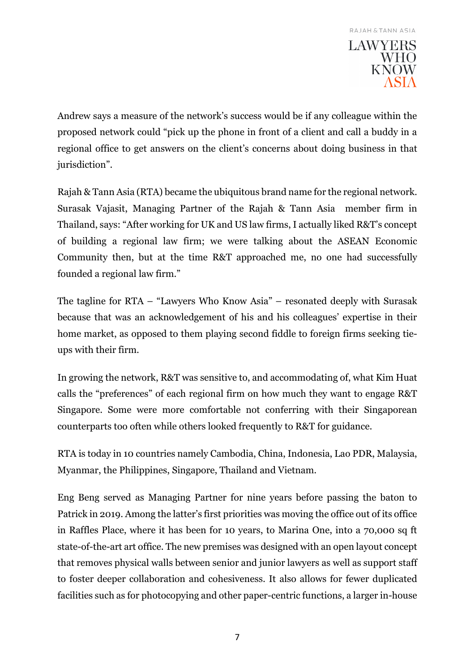Andrew says a measure of the network's success would be if any colleague within the proposed network could "pick up the phone in front of a client and call a buddy in a regional office to get answers on the client's concerns about doing business in that jurisdiction".

Rajah & Tann Asia (RTA) became the ubiquitous brand name for the regional network. Surasak Vajasit, Managing Partner of the Rajah & Tann Asia member firm in Thailand, says: "After working for UK and US law firms, I actually liked R&T's concept of building a regional law firm; we were talking about the ASEAN Economic Community then, but at the time R&T approached me, no one had successfully founded a regional law firm."

The tagline for RTA – "Lawyers Who Know Asia" – resonated deeply with Surasak because that was an acknowledgement of his and his colleagues' expertise in their home market, as opposed to them playing second fiddle to foreign firms seeking tieups with their firm.

In growing the network, R&T was sensitive to, and accommodating of, what Kim Huat calls the "preferences" of each regional firm on how much they want to engage R&T Singapore. Some were more comfortable not conferring with their Singaporean counterparts too often while others looked frequently to R&T for guidance.

RTA is today in 10 countries namely Cambodia, China, Indonesia, Lao PDR, Malaysia, Myanmar, the Philippines, Singapore, Thailand and Vietnam.

Eng Beng served as Managing Partner for nine years before passing the baton to Patrick in 2019. Among the latter's first priorities was moving the office out of its office in Raffles Place, where it has been for 10 years, to Marina One, into a 70,000 sq ft state-of-the-art art office. The new premises was designed with an open layout concept that removes physical walls between senior and junior lawyers as well as support staff to foster deeper collaboration and cohesiveness. It also allows for fewer duplicated facilities such as for photocopying and other paper-centric functions, a larger in-house